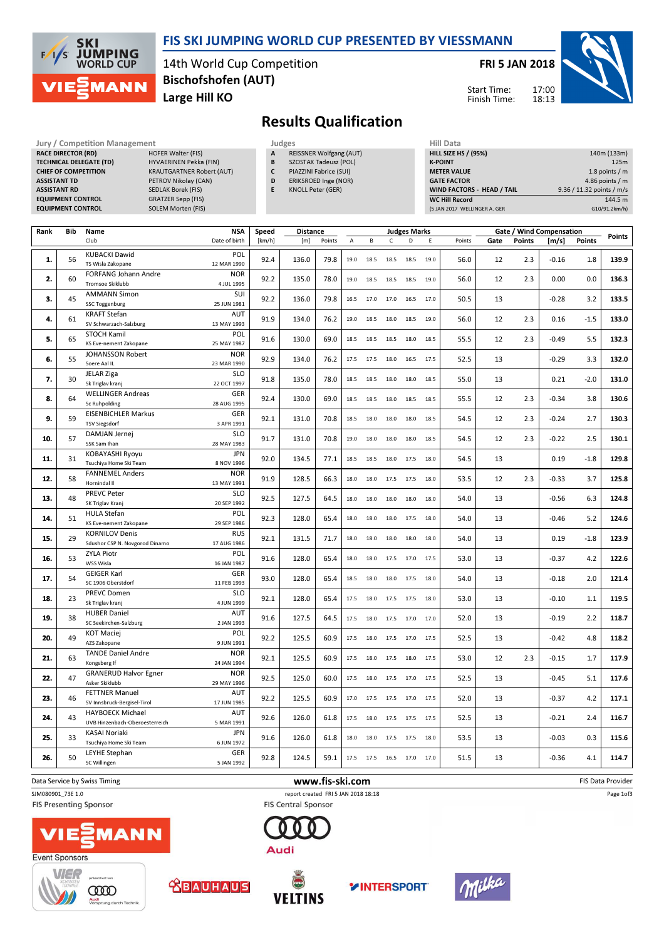

#### FIS SKI JUMPING WORLD CUP PRESENTED BY VIESSMANN

14th World Cup Competition Large Hill KO Bischofshofen (AUT)

#### FRI 5 JAN 2018



Start Time: Finish Time:

# Results Qualification

Jury / Competition Management<br> **RACE DIRECTOR (RD)** HOFER Walter (FIS) **A** REISSNER Wolfgang (AUT) HILL S **RACE DIRECTOR (RD)** TECHNICAL DELEGATE (TD) HYVAERINEN Pekka (FIN) CHIEF OF COMPETITION KRAUTGARTNER Robert (AUT) ASSISTANT TD PETROV Nikolay (CAN) ASSISTANT RD SEDLAK Borek (FIS) EQUIPMENT CONTROL GRATZER Sepp (FIS)<br>
EQUIPMENT CONTROL SOLEM Morten (FIS) **EQUIPMENT CONTROL** 

- REISSNER Wolfgang (AUT) B SZOSTAK Tadeusz (POL)
- C PIAZZINI Fabrice (SUI)
- D ERIKSROED Inge (NOR)
- E KNOLL Peter (GER)

| Hill Data                         |                           |
|-----------------------------------|---------------------------|
| <b>HILL SIZE HS / (95%)</b>       | 140m (133m)               |
| <b>K-POINT</b>                    | 125m                      |
| <b>METER VALUE</b>                | 1.8 points $/m$           |
| <b>GATE FACTOR</b>                | 4.86 points $/m$          |
| <b>WIND FACTORS - HEAD / TAIL</b> | 9.36 / 11.32 points / m/s |
| <b>WC Hill Record</b>             | 144.5 m                   |
| (5 JAN 2017 WELLINGER A. GER      | G10/91.2km/h)             |

| Rank | Bib | Name                                                      | <b>NSA</b>                | Speed  | <b>Distance</b> |        |      |      |      | <b>Judges Marks</b>      |      |        |      |               | Gate / Wind Compensation |               | Points |
|------|-----|-----------------------------------------------------------|---------------------------|--------|-----------------|--------|------|------|------|--------------------------|------|--------|------|---------------|--------------------------|---------------|--------|
|      |     | Club                                                      | Date of birth             | [km/h] | [m]             | Points | A    | B    | C    | D                        | E    | Points | Gate | <b>Points</b> | [m/s]                    | <b>Points</b> |        |
| 1.   | 56  | <b>KUBACKI Dawid</b><br>TS Wisla Zakopane                 | POL<br>12 MAR 1990        | 92.4   | 136.0           | 79.8   | 19.0 | 18.5 | 18.5 | 18.5                     | 19.0 | 56.0   | 12   | 2.3           | $-0.16$                  | 1.8           | 139.9  |
| 2.   | 60  | FORFANG Johann Andre<br>Tromsoe Skiklubb                  | <b>NOR</b><br>4 JUL 1995  | 92.2   | 135.0           | 78.0   | 19.0 | 18.5 | 18.5 | 18.5                     | 19.0 | 56.0   | 12   | 2.3           | 0.00                     | 0.0           | 136.3  |
| 3.   | 45  | <b>AMMANN Simon</b>                                       | SUI                       | 92.2   | 136.0           | 79.8   | 16.5 | 17.0 | 17.0 | 16.5                     | 17.0 | 50.5   | 13   |               | $-0.28$                  | 3.2           | 133.5  |
|      |     | <b>SSC Toggenburg</b>                                     | 25 JUN 1981               |        |                 |        |      |      |      |                          |      |        |      |               |                          |               |        |
| 4.   | 61  | <b>KRAFT Stefan</b><br>SV Schwarzach-Salzburg             | <b>AUT</b><br>13 MAY 1993 | 91.9   | 134.0           | 76.2   | 19.0 | 18.5 | 18.0 | 18.5                     | 19.0 | 56.0   | 12   | 2.3           | 0.16                     | $-1.5$        | 133.0  |
| 5.   | 65  | <b>STOCH Kamil</b><br>KS Eve-nement Zakopane              | POL<br>25 MAY 1987        | 91.6   | 130.0           | 69.0   | 18.5 | 18.5 | 18.5 | 18.0                     | 18.5 | 55.5   | 12   | 2.3           | $-0.49$                  | 5.5           | 132.3  |
| 6.   | 55  | JOHANSSON Robert<br>Soere Aal IL                          | <b>NOR</b><br>23 MAR 1990 | 92.9   | 134.0           | 76.2   | 17.5 | 17.5 | 18.0 | 16.5                     | 17.5 | 52.5   | 13   |               | $-0.29$                  | 3.3           | 132.0  |
| 7.   | 30  | <b>JELAR Ziga</b><br>Sk Triglav kranj                     | <b>SLO</b><br>22 OCT 1997 | 91.8   | 135.0           | 78.0   | 18.5 | 18.5 | 18.0 | 18.0                     | 18.5 | 55.0   | 13   |               | 0.21                     | $-2.0$        | 131.0  |
| 8.   | 64  | <b>WELLINGER Andreas</b><br><b>Sc Ruhpolding</b>          | GER<br>28 AUG 1995        | 92.4   | 130.0           | 69.0   | 18.5 | 18.5 | 18.0 | 18.5                     | 18.5 | 55.5   | 12   | 2.3           | $-0.34$                  | 3.8           | 130.6  |
| 9.   | 59  | <b>EISENBICHLER Markus</b><br><b>TSV Siegsdorf</b>        | GER<br>3 APR 1991         | 92.1   | 131.0           | 70.8   | 18.5 | 18.0 | 18.0 | 18.0                     | 18.5 | 54.5   | 12   | 2.3           | $-0.24$                  | 2.7           | 130.3  |
| 10.  | 57  | DAMJAN Jernej<br>SSK Sam Ihan                             | <b>SLO</b><br>28 MAY 1983 | 91.7   | 131.0           | 70.8   | 19.0 | 18.0 | 18.0 | 18.0                     | 18.5 | 54.5   | 12   | 2.3           | $-0.22$                  | 2.5           | 130.1  |
| 11.  | 31  | KOBAYASHI Ryoyu<br>Tsuchiya Home Ski Team                 | <b>JPN</b><br>8 NOV 1996  | 92.0   | 134.5           | 77.1   | 18.5 | 18.5 | 18.0 | 17.5                     | 18.0 | 54.5   | 13   |               | 0.19                     | $-1.8$        | 129.8  |
| 12.  | 58  | <b>FANNEMEL Anders</b><br>Hornindal II                    | <b>NOR</b><br>13 MAY 1991 | 91.9   | 128.5           | 66.3   | 18.0 | 18.0 | 17.5 | 17.5                     | 18.0 | 53.5   | 12   | 2.3           | $-0.33$                  | 3.7           | 125.8  |
| 13.  | 48  | <b>PREVC Peter</b><br>SK Triglav Kranj                    | <b>SLO</b><br>20 SEP 1992 | 92.5   | 127.5           | 64.5   | 18.0 | 18.0 | 18.0 | 18.0                     | 18.0 | 54.0   | 13   |               | $-0.56$                  | 6.3           | 124.8  |
| 14.  | 51  | <b>HULA Stefan</b><br>KS Eve-nement Zakopane              | POL<br>29 SEP 1986        | 92.3   | 128.0           | 65.4   | 18.0 | 18.0 | 18.0 | 17.5                     | 18.0 | 54.0   | 13   |               | $-0.46$                  | 5.2           | 124.6  |
| 15.  | 29  | <b>KORNILOV Denis</b><br>Sdushor CSP N. Novgorod Dinamo   | <b>RUS</b><br>17 AUG 1986 | 92.1   | 131.5           | 71.7   | 18.0 | 18.0 | 18.0 | 18.0                     | 18.0 | 54.0   | 13   |               | 0.19                     | $-1.8$        | 123.9  |
| 16.  | 53  | <b>ZYLA Piotr</b><br>WSS Wisla                            | POL<br>16 JAN 1987        | 91.6   | 128.0           | 65.4   | 18.0 | 18.0 |      | 17.5 17.0 17.5           |      | 53.0   | 13   |               | $-0.37$                  | 4.2           | 122.6  |
| 17.  | 54  | <b>GEIGER Karl</b><br>SC 1906 Oberstdorf                  | GER<br>11 FEB 1993        | 93.0   | 128.0           | 65.4   | 18.5 | 18.0 | 18.0 | 17.5                     | 18.0 | 54.0   | 13   |               | $-0.18$                  | 2.0           | 121.4  |
| 18.  | 23  | PREVC Domen                                               | <b>SLO</b>                | 92.1   | 128.0           | 65.4   | 17.5 | 18.0 | 17.5 | 17.5                     | 18.0 | 53.0   | 13   |               | $-0.10$                  | 1.1           | 119.5  |
|      |     | Sk Triglav kranj<br><b>HUBER Daniel</b>                   | 4 JUN 1999<br>AUT         |        |                 |        |      |      |      |                          |      |        |      |               |                          |               |        |
| 19.  | 38  | SC Seekirchen-Salzburg                                    | 2 JAN 1993                | 91.6   | 127.5           | 64.5   | 17.5 | 18.0 |      | 17.5 17.0 17.0           |      | 52.0   | 13   |               | $-0.19$                  | 2.2           | 118.7  |
| 20.  | 49  | <b>KOT Maciej</b><br>AZS Zakopane                         | POL<br>9 JUN 1991         | 92.2   | 125.5           | 60.9   | 17.5 | 18.0 | 17.5 | 17.0                     | 17.5 | 52.5   | 13   |               | $-0.42$                  | 4.8           | 118.2  |
| 21.  | 63  | <b>TANDE Daniel Andre</b><br>Kongsberg If                 | <b>NOR</b><br>24 JAN 1994 | 92.1   | 125.5           | 60.9   | 17.5 | 18.0 | 17.5 | 18.0                     | 17.5 | 53.0   | 12   | 2.3           | $-0.15$                  | 1.7           | 117.9  |
| 22.  | 47  | <b>GRANERUD Halvor Egner</b><br>Asker Skiklubb            | <b>NOR</b><br>29 MAY 1996 | 92.5   | 125.0           | 60.0   | 17.5 | 18.0 | 17.5 | 17.0                     | 17.5 | 52.5   | 13   |               | $-0.45$                  | 5.1           | 117.6  |
| 23.  | 46  | <b>FETTNER Manuel</b><br>SV Innsbruck-Bergisel-Tirol      | <b>AUT</b><br>17 JUN 1985 | 92.2   | 125.5           | 60.9   | 17.0 | 17.5 | 17.5 | 17.0                     | 17.5 | 52.0   | 13   |               | $-0.37$                  | 4.2           | 117.1  |
| 24.  | 43  | <b>HAYBOECK Michael</b><br>UVB Hinzenbach-Oberoesterreich | AUT<br>5 MAR 1991         | 92.6   | 126.0           | 61.8   | 17.5 | 18.0 | 17.5 | 17.5                     | 17.5 | 52.5   | 13   |               | $-0.21$                  | 2.4           | 116.7  |
| 25.  | 33  | <b>KASAI Noriaki</b><br>Tsuchiya Home Ski Team            | <b>JPN</b><br>6 JUN 1972  | 91.6   | 126.0           | 61.8   | 18.0 | 18.0 | 17.5 | 17.5                     | 18.0 | 53.5   | 13   |               | $-0.03$                  | 0.3           | 115.6  |
| 26.  | 50  | LEYHE Stephan<br>SC Willingen                             | <b>GER</b><br>5 JAN 1992  | 92.8   | 124.5           | 59.1   |      |      |      | 17.5 17.5 16.5 17.0 17.0 |      | 51.5   | 13   |               | $-0.36$                  | 4.1           | 114.7  |
|      |     |                                                           |                           |        |                 |        |      |      |      |                          |      |        |      |               |                          |               |        |

Data Service by Swiss Timing **EXECUTE:** The Same of the WWW.fis-ski.com **EXECUTE:** FIS Data Provider

SJM080901\_73E 1.0 report created FRI 5 JAN 2018 18:18

Event Sponsors

FIS Presenting Sponsor



**COOD** 

A

.<br>rung durch Tech





**FIS Central Sponsor** 







Page 1of3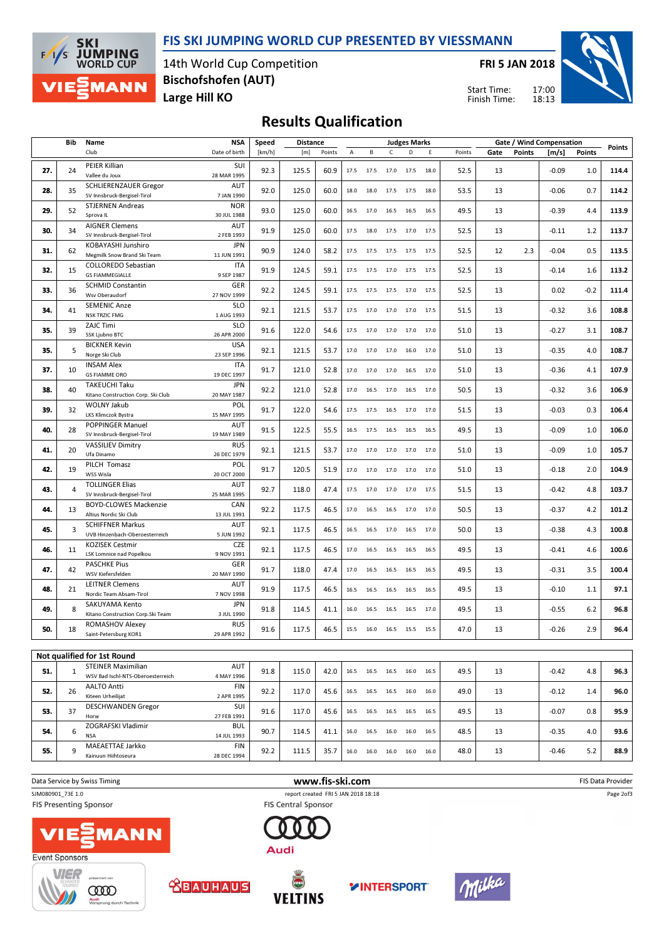#### FIS SKI JUMPING WORLD CUP PRESENTED BY VIESSMANN



14th World Cup Competition Large Hill KO Bischofshofen (AUT)

FRI 5 JAN 2018





## Results Qualification

|     | Bib<br>Name    |                                                                | NSA                       | Speed  |       | <b>Distance</b> |      |                                                        |              | <b>Judges Marks</b> |      |        | Gate / Wind Compensation |               |         |               | Points |
|-----|----------------|----------------------------------------------------------------|---------------------------|--------|-------|-----------------|------|--------------------------------------------------------|--------------|---------------------|------|--------|--------------------------|---------------|---------|---------------|--------|
|     |                | Club                                                           | Date of birth             | [km/h] | [m]   | Points          | Α    | В                                                      | $\mathsf{C}$ | D                   | Ε    | Points | Gate                     | <b>Points</b> | [m/s]   | <b>Points</b> |        |
| 27. | 24             | PEIER Killian<br>Vallee du Joux                                | SUI<br>28 MAR 1995        | 92.3   | 125.5 | 60.9            | 17.5 | 17.5                                                   | 17.0         | 17.5                | 18.0 | 52.5   | 13                       |               | $-0.09$ | 1.0           | 114.4  |
| 28. | 35             | SCHLIERENZAUER Gregor<br>SV Innsbruck-Bergisel-Tirol           | <b>AUT</b><br>7 JAN 1990  | 92.0   | 125.0 | 60.0            | 18.0 | 18.0                                                   | 17.5         | 17.5                | 18.0 | 53.5   | 13                       |               | $-0.06$ | 0.7           | 114.2  |
| 29. | 52             | <b>STJERNEN Andreas</b><br>Sprova IL                           | <b>NOR</b><br>30 JUL 1988 | 93.0   | 125.0 | 60.0            | 16.5 | 17.0                                                   | 16.5         | 16.5                | 16.5 | 49.5   | 13                       |               | $-0.39$ | 4.4           | 113.9  |
| 30. | 34             | <b>AIGNER Clemens</b><br>SV Innsbruck-Bergisel-Tirol           | <b>AUT</b><br>2 FEB 1993  | 91.9   | 125.0 | 60.0            | 17.5 | 18.0                                                   | 17.5         | 17.0                | 17.5 | 52.5   | 13                       |               | $-0.11$ | 1.2           | 113.7  |
| 31. | 62             | KOBAYASHI Junshiro<br>Megmilk Snow Brand Ski Team              | <b>JPN</b><br>11 JUN 1991 | 90.9   | 124.0 | 58.2            | 17.5 | 17.5                                                   | 17.5         | 17.5                | 17.5 | 52.5   | 12                       | 2.3           | $-0.04$ | 0.5           | 113.5  |
| 32. | 15             | <b>COLLOREDO Sebastian</b><br><b>GS FIAMMEGIALLE</b>           | <b>ITA</b><br>9 SEP 1987  | 91.9   | 124.5 | 59.1            | 17.5 | 17.5                                                   | 17.0         | 17.5                | 17.5 | 52.5   | 13                       |               | $-0.14$ | 1.6           | 113.2  |
| 33. | 36             | <b>SCHMID Constantin</b><br>Wsv Oberaudorf                     | GER<br>27 NOV 1999        | 92.2   | 124.5 | 59.1            | 17.5 | 17.5                                                   | 17.5         | 17.0                | 17.5 | 52.5   | 13                       |               | 0.02    | $-0.2$        | 111.4  |
| 34. | 41             | <b>SEMENIC Anze</b><br><b>NSK TRZIC FMG</b>                    | <b>SLO</b><br>1 AUG 1993  | 92.1   | 121.5 | 53.7            | 17.5 | 17.0                                                   | 17.0         | 17.0                | 17.5 | 51.5   | 13                       |               | $-0.32$ | 3.6           | 108.8  |
| 35. | 39             | ZAJC Timi<br>SSK Ljubno BTC                                    | <b>SLO</b><br>26 APR 2000 | 91.6   | 122.0 | 54.6            | 17.5 | 17.0                                                   | 17.0         | 17.0                | 17.0 | 51.0   | 13                       |               | $-0.27$ | 3.1           | 108.7  |
| 35. | 5              | <b>BICKNER Kevin</b><br>Norge Ski Club                         | <b>USA</b><br>23 SEP 1996 | 92.1   | 121.5 | 53.7            | 17.0 | 17.0                                                   | 17.0         | 16.0                | 17.0 | 51.0   | 13                       |               | $-0.35$ | 4.0           | 108.7  |
| 37. | 10             | <b>INSAM Alex</b><br><b>GS FIAMME ORO</b>                      | <b>ITA</b><br>19 DEC 1997 | 91.7   | 121.0 | 52.8            | 17.0 | 17.0                                                   | 17.0         | 16.5                | 17.0 | 51.0   | 13                       |               | $-0.36$ | 4.1           | 107.9  |
| 38. | 40             | TAKEUCHI Taku<br>Kitano Construction Corp. Ski Club            | <b>JPN</b><br>20 MAY 1987 | 92.2   | 121.0 | 52.8            | 17.0 |                                                        | 16.5 17.0    | 16.5                | 17.0 | 50.5   | 13                       |               | $-0.32$ | 3.6           | 106.9  |
| 39. | 32             | <b>WOLNY Jakub</b><br>LKS Klimczok Bystra                      | POL<br>15 MAY 1995        | 91.7   | 122.0 | 54.6            | 17.5 | 17.5                                                   | 16.5         | 17.0                | 17.0 | 51.5   | 13                       |               | $-0.03$ | 0.3           | 106.4  |
| 40. | 28             | POPPINGER Manuel<br>SV Innsbruck-Bergisel-Tirol                | <b>AUT</b><br>19 MAY 1989 | 91.5   | 122.5 | 55.5            | 16.5 | 17.5                                                   | 16.5         | 16.5                | 16.5 | 49.5   | 13                       |               | $-0.09$ | 1.0           | 106.0  |
| 41. | 20             | <b>VASSILIEV Dimitry</b><br>Ufa Dinamo                         | <b>RUS</b><br>26 DEC 1979 | 92.1   | 121.5 | 53.7            | 17.0 | 17.0                                                   | 17.0         | 17.0                | 17.0 | 51.0   | 13                       |               | $-0.09$ | 1.0           | 105.7  |
| 42. | 19             | PILCH Tomasz<br>WSS Wisla                                      | POL<br>20 OCT 2000        | 91.7   | 120.5 | 51.9            |      | 17.0 17.0                                              |              | 17.0 17.0           | 17.0 | 51.0   | 13                       |               | $-0.18$ | 2.0           | 104.9  |
| 43. | $\overline{4}$ | <b>TOLLINGER Elias</b><br>SV Innsbruck-Bergisel-Tirol          | AUT<br>25 MAR 1995        | 92.7   | 118.0 | 47.4            | 17.5 | 17.0                                                   | 17.0         | 17.0                | 17.5 | 51.5   | 13                       |               | $-0.42$ | 4.8           | 103.7  |
| 44. | 13             | <b>BOYD-CLOWES Mackenzie</b><br>Altius Nordic Ski Club         | CAN<br>13 JUL 1991        | 92.2   | 117.5 | 46.5            | 17.0 | 16.5                                                   |              | 16.5 17.0           | 17.0 | 50.5   | 13                       |               | $-0.37$ | 4.2           | 101.2  |
| 45. | 3              | <b>SCHIFFNER Markus</b><br>UVB Hinzenbach-Oberoesterreich      | AUT<br>5 JUN 1992         | 92.1   | 117.5 | 46.5            | 16.5 | 16.5                                                   | 17.0         | 16.5                | 17.0 | 50.0   | 13                       |               | $-0.38$ | 4.3           | 100.8  |
| 46. | 11             | <b>KOZISEK Cestmir</b><br>LSK Lomnice nad Popelkou             | <b>CZE</b><br>9 NOV 1991  | 92.1   | 117.5 | 46.5            | 17.0 | 16.5                                                   | 16.5         | 16.5                | 16.5 | 49.5   | 13                       |               | $-0.41$ | 4.6           | 100.6  |
| 47. | 42             | <b>PASCHKE Pius</b><br>WSV Kiefersfelden                       | <b>GER</b><br>20 MAY 1990 | 91.7   | 118.0 | 47.4            | 17.0 | 16.5                                                   | 16.5         | 16.5                | 16.5 | 49.5   | 13                       |               | $-0.31$ | 3.5           | 100.4  |
| 48. | 21             | <b>LEITNER Clemens</b><br>Nordic Team Absam-Tirol              | <b>AUT</b><br>7 NOV 1998  | 91.9   | 117.5 | 46.5            | 16.5 | 16.5                                                   | 16.5         | 16.5                | 16.5 | 49.5   | 13                       |               | $-0.10$ | 1.1           | 97.1   |
| 49. | 8              | SAKUYAMA Kento<br>Kitano Construction Corp.Ski Team            | <b>JPN</b><br>3 JUL 1990  | 91.8   | 114.5 | 41.1            | 16.0 | 16.5                                                   | 16.5         | 16.5                | 17.0 | 49.5   | 13                       |               | $-0.55$ | 6.2           | 96.8   |
| 50. | 18             | ROMASHOV Alexey<br>Saint-Petersburg KOR1                       | <b>RUS</b><br>29 APR 1992 | 91.6   | 117.5 | 46.5            |      | 15.5 16.0 16.5 15.5                                    |              |                     | 15.5 | 47.0   | 13                       |               | $-0.26$ | 2.9           | 96.4   |
|     |                |                                                                |                           |        |       |                 |      |                                                        |              |                     |      |        |                          |               |         |               |        |
|     |                | Not qualified for 1st Round                                    |                           |        |       |                 |      |                                                        |              |                     |      |        |                          |               |         |               |        |
| 51. | $\mathbf{1}$   | <b>STEINER Maximilian</b><br>WSV Bad Ischl-NTS-Oberoesterreich | AUT<br>4 MAY 1996         | 91.8   | 115.0 | 42.0            |      | 16.5 16.5 16.5 16.0 16.5                               |              |                     |      | 49.5   | 13                       |               | $-0.42$ | 4.8           | 96.3   |
| 52. | 26             | <b>AALTO Antti</b><br>Kiteen Urheilijat                        | <b>FIN</b><br>2 APR 1995  | 92.2   | 117.0 | 45.6            |      | 16.5 16.5 16.5 16.0 16.0                               |              |                     |      | 49.0   | 13                       |               | $-0.12$ | 1.4           | 96.0   |
| 53. | 37             | <b>DESCHWANDEN Gregor</b><br>Horw                              | SUI<br>27 FEB 1991        | 91.6   | 117.0 | 45.6            |      | $16.5 \qquad 16.5 \qquad 16.5 \qquad 16.5 \qquad 16.5$ |              |                     |      | 49.5   | 13                       |               | $-0.07$ | 0.8           | 95.9   |
| 54. | 6              | ZOGRAFSKI Vladimir<br>NSA                                      | <b>BUL</b><br>14 JUL 1993 | 90.7   | 114.5 | 41.1            |      | 16.0  16.5  16.0  16.0  16.5                           |              |                     |      | 48.5   | 13                       |               | $-0.35$ | 4.0           | 93.6   |
| 55. | 9              | MAEAETTAE Jarkko<br>Kainuun Hiihtoseura                        | <b>FIN</b><br>28 DEC 1994 | 92.2   | 111.5 | 35.7            |      | $16.0 \qquad 16.0 \qquad 16.0 \qquad 16.0 \qquad 16.0$ |              |                     |      | 48.0   | 13                       |               | $-0.46$ | 5.2           | 88.9   |











Audi





Page 2of3